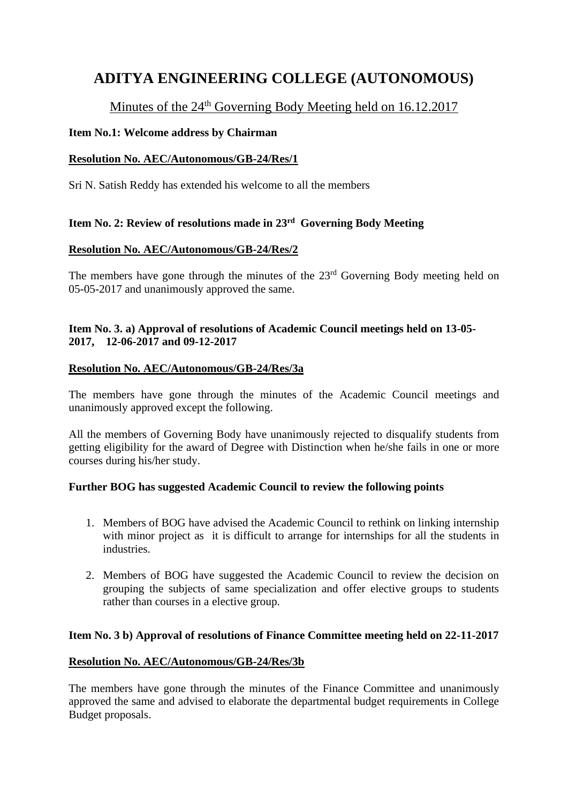# **ADITYA ENGINEERING COLLEGE (AUTONOMOUS)**

# Minutes of the 24<sup>th</sup> Governing Body Meeting held on 16.12.2017

# **Item No.1: Welcome address by Chairman**

# **Resolution No. AEC/Autonomous/GB-24/Res/1**

Sri N. Satish Reddy has extended his welcome to all the members

# **Item No. 2: Review of resolutions made in 23rd Governing Body Meeting**

# **Resolution No. AEC/Autonomous/GB-24/Res/2**

The members have gone through the minutes of the  $23<sup>rd</sup>$  Governing Body meeting held on 05-05-2017 and unanimously approved the same.

### **Item No. 3. a) Approval of resolutions of Academic Council meetings held on 13-05- 2017, 12-06-2017 and 09-12-2017**

### **Resolution No. AEC/Autonomous/GB-24/Res/3a**

The members have gone through the minutes of the Academic Council meetings and unanimously approved except the following.

All the members of Governing Body have unanimously rejected to disqualify students from getting eligibility for the award of Degree with Distinction when he/she fails in one or more courses during his/her study.

### **Further BOG has suggested Academic Council to review the following points**

- 1. Members of BOG have advised the Academic Council to rethink on linking internship with minor project as it is difficult to arrange for internships for all the students in industries.
- 2. Members of BOG have suggested the Academic Council to review the decision on grouping the subjects of same specialization and offer elective groups to students rather than courses in a elective group.

### **Item No. 3 b) Approval of resolutions of Finance Committee meeting held on 22-11-2017**

### **Resolution No. AEC/Autonomous/GB-24/Res/3b**

The members have gone through the minutes of the Finance Committee and unanimously approved the same and advised to elaborate the departmental budget requirements in College Budget proposals.